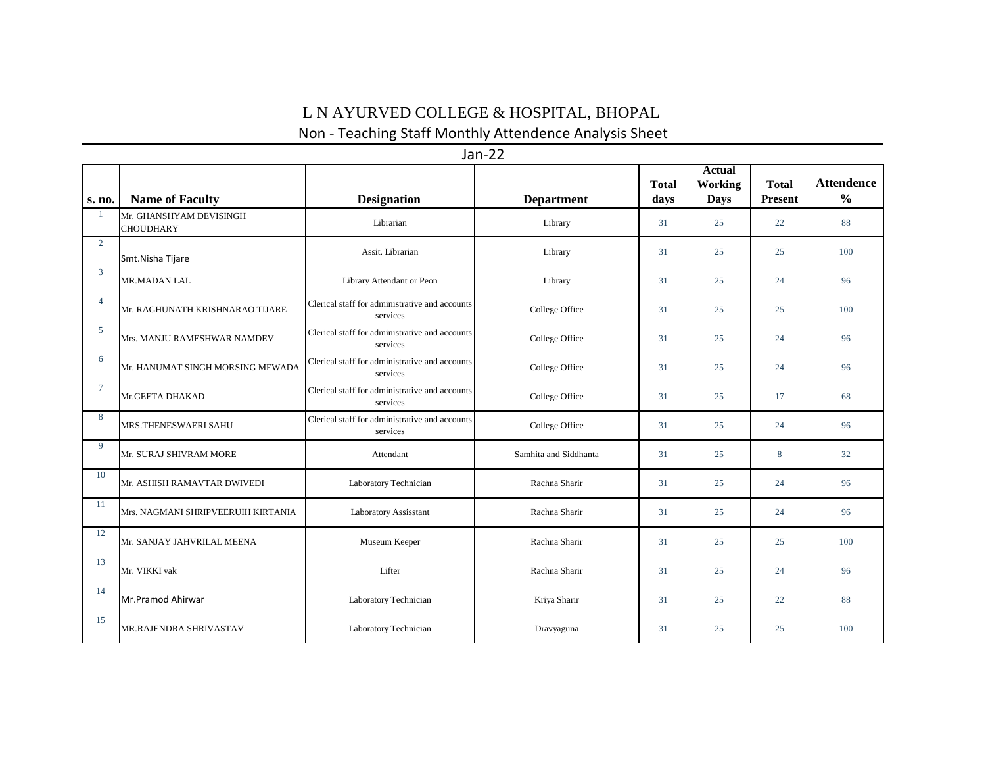## L N AYURVED COLLEGE & HOSPITAL, BHOPAL

Non - Teaching Staff Monthly Attendence Analysis Sheet

| Jan-22         |                                             |                                                            |                       |                      |                                         |                                |                                    |  |  |  |  |
|----------------|---------------------------------------------|------------------------------------------------------------|-----------------------|----------------------|-----------------------------------------|--------------------------------|------------------------------------|--|--|--|--|
| s. no.         | <b>Name of Faculty</b>                      | <b>Designation</b>                                         | <b>Department</b>     | <b>Total</b><br>days | <b>Actual</b><br>Working<br><b>Days</b> | <b>Total</b><br><b>Present</b> | <b>Attendence</b><br>$\frac{6}{9}$ |  |  |  |  |
| -1             | Mr. GHANSHYAM DEVISINGH<br><b>CHOUDHARY</b> | Librarian                                                  | Library               | 31                   | 25                                      | 22                             | 88                                 |  |  |  |  |
| $\overline{2}$ | Smt.Nisha Tijare                            | Assit. Librarian                                           | Library               | 31                   | 25                                      | 25                             | 100                                |  |  |  |  |
| $\overline{3}$ | <b>MR.MADAN LAL</b>                         | Library Attendant or Peon                                  | Library               | 31                   | 25                                      | 24                             | 96                                 |  |  |  |  |
| $\overline{4}$ | Mr. RAGHUNATH KRISHNARAO TIJARE             | Clerical staff for administrative and accounts<br>services | College Office        | 31                   | 25                                      | 25                             | 100                                |  |  |  |  |
| -5             | Mrs. MANJU RAMESHWAR NAMDEV                 | Clerical staff for administrative and accounts<br>services | College Office        | 31                   | 25                                      | 24                             | 96                                 |  |  |  |  |
| 6              | Mr. HANUMAT SINGH MORSING MEWADA            | Clerical staff for administrative and accounts<br>services | College Office        | 31                   | 25                                      | 24                             | 96                                 |  |  |  |  |
| $\overline{7}$ | Mr.GEETA DHAKAD                             | Clerical staff for administrative and accounts<br>services | College Office        | 31                   | 25                                      | 17                             | 68                                 |  |  |  |  |
| 8              | MRS.THENESWAERI SAHU                        | Clerical staff for administrative and accounts<br>services | College Office        | 31                   | 25                                      | 24                             | 96                                 |  |  |  |  |
| 9              | Mr. SURAJ SHIVRAM MORE                      | Attendant                                                  | Samhita and Siddhanta | 31                   | 25                                      | $8\phantom{.}$                 | 32                                 |  |  |  |  |
| 10             | Mr. ASHISH RAMAVTAR DWIVEDI                 | Laboratory Technician                                      | Rachna Sharir         | 31                   | 25                                      | 24                             | 96                                 |  |  |  |  |
| 11             | Mrs. NAGMANI SHRIPVEERUIH KIRTANIA          | Laboratory Assisstant                                      | Rachna Sharir         | 31                   | 25                                      | 24                             | 96                                 |  |  |  |  |
| 12             | Mr. SANJAY JAHVRILAL MEENA                  | Museum Keeper                                              | Rachna Sharir         | 31                   | 25                                      | 25                             | 100                                |  |  |  |  |
| 13             | Mr. VIKKI vak                               | Lifter                                                     | Rachna Sharir         | 31                   | 25                                      | 24                             | 96                                 |  |  |  |  |
| 14             | Mr.Pramod Ahirwar                           | Laboratory Technician                                      | Kriya Sharir          | 31                   | 25                                      | 22                             | 88                                 |  |  |  |  |
| 15             | MR.RAJENDRA SHRIVASTAV                      | Laboratory Technician                                      | Dravyaguna            | 31                   | 25                                      | 25                             | 100                                |  |  |  |  |

Jan-22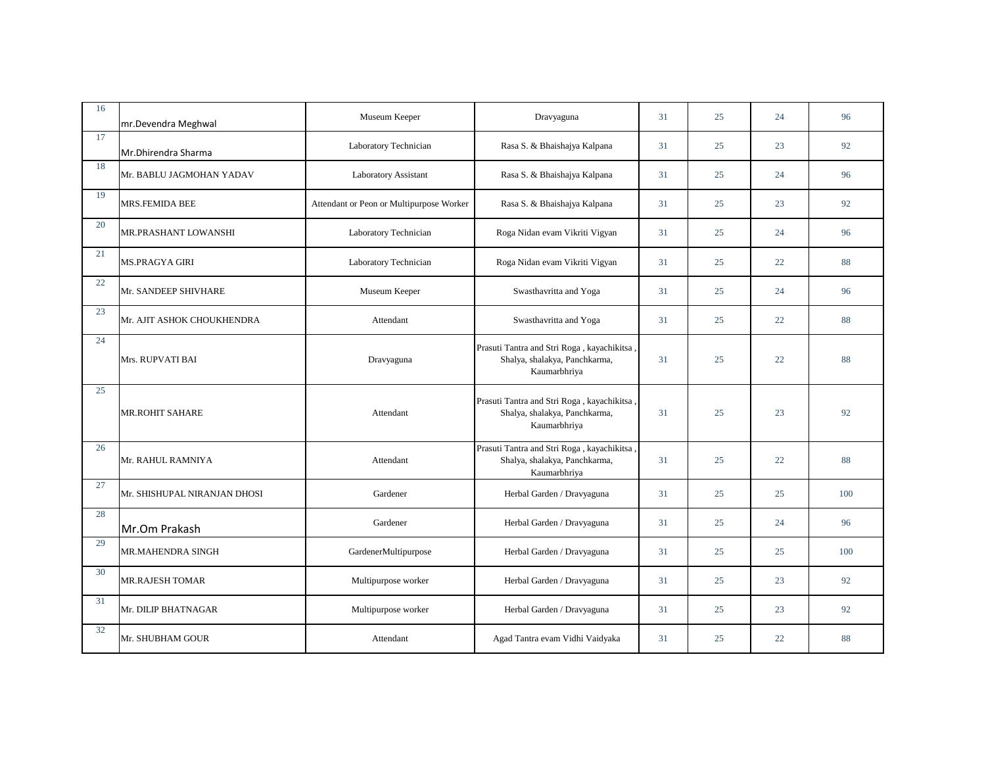| 16 | mr.Devendra Meghwal          | Museum Keeper                            | Dravyaguna                                                                                   | 31 | 25 | 24 | 96  |
|----|------------------------------|------------------------------------------|----------------------------------------------------------------------------------------------|----|----|----|-----|
| 17 | Mr.Dhirendra Sharma          | Laboratory Technician                    | Rasa S. & Bhaishajya Kalpana                                                                 | 31 | 25 | 23 | 92  |
| 18 | Mr. BABLU JAGMOHAN YADAV     | Laboratory Assistant                     | Rasa S. & Bhaishajya Kalpana                                                                 | 31 | 25 | 24 | 96  |
| 19 | MRS.FEMIDA BEE               | Attendant or Peon or Multipurpose Worker | Rasa S. & Bhaishajya Kalpana                                                                 | 31 | 25 | 23 | 92  |
| 20 | MR.PRASHANT LOWANSHI         | Laboratory Technician                    | Roga Nidan evam Vikriti Vigyan                                                               | 31 | 25 | 24 | 96  |
| 21 | <b>MS.PRAGYA GIRI</b>        | Laboratory Technician                    | Roga Nidan evam Vikriti Vigyan                                                               | 31 | 25 | 22 | 88  |
| 22 | Mr. SANDEEP SHIVHARE         | Museum Keeper                            | Swasthavritta and Yoga                                                                       | 31 | 25 | 24 | 96  |
| 23 | Mr. AJIT ASHOK CHOUKHENDRA   | Attendant                                | Swasthavritta and Yoga                                                                       | 31 | 25 | 22 | 88  |
| 24 | Mrs. RUPVATI BAI             | Dravyaguna                               | Prasuti Tantra and Stri Roga, kayachikitsa,<br>Shalya, shalakya, Panchkarma,<br>Kaumarbhriya | 31 | 25 | 22 | 88  |
| 25 | MR.ROHIT SAHARE              | Attendant                                | Prasuti Tantra and Stri Roga, kayachikitsa,<br>Shalya, shalakya, Panchkarma,<br>Kaumarbhriya | 31 | 25 | 23 | 92  |
| 26 | Mr. RAHUL RAMNIYA            | Attendant                                | Prasuti Tantra and Stri Roga, kayachikitsa<br>Shalya, shalakya, Panchkarma,<br>Kaumarbhriya  | 31 | 25 | 22 | 88  |
| 27 | Mr. SHISHUPAL NIRANJAN DHOSI | Gardener                                 | Herbal Garden / Dravyaguna                                                                   | 31 | 25 | 25 | 100 |
| 28 | Mr.Om Prakash                | Gardener                                 | Herbal Garden / Dravyaguna                                                                   | 31 | 25 | 24 | 96  |
| 29 | MR.MAHENDRA SINGH            | GardenerMultipurpose                     | Herbal Garden / Dravyaguna                                                                   | 31 | 25 | 25 | 100 |
| 30 | <b>MR.RAJESH TOMAR</b>       | Multipurpose worker                      | Herbal Garden / Dravyaguna                                                                   | 31 | 25 | 23 | 92  |
| 31 | Mr. DILIP BHATNAGAR          | Multipurpose worker                      | Herbal Garden / Dravyaguna                                                                   | 31 | 25 | 23 | 92  |
| 32 | Mr. SHUBHAM GOUR             | Attendant                                | Agad Tantra evam Vidhi Vaidyaka                                                              | 31 | 25 | 22 | 88  |
|    |                              |                                          |                                                                                              |    |    |    |     |